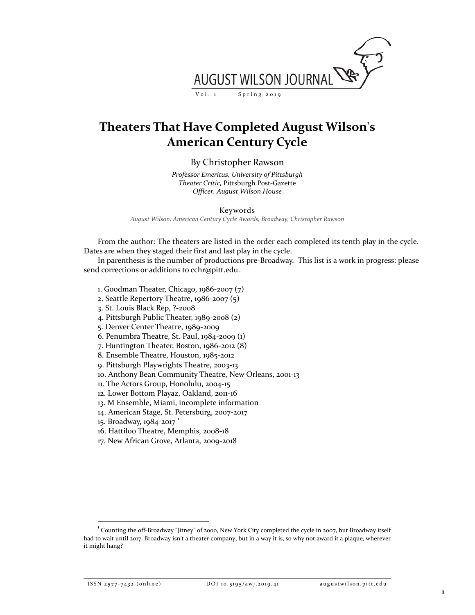

## **Theaters That Have Completed August Wilson's American Century Cycle**

By Christopher Rawson

*Professor Emeritus, University of Pittsburgh Theater Critic,* Pittsburgh Post-Gazette *Officer, August Wilson House*

Keywords

*August Wilson, American Century Cycle Awards, Broadway, Christopher Rawson*

From the author: The theaters are listed in the order each completed its tenth play in the cycle. Dates are when they staged their first and last play in the cycle.

In parenthesis is the number of productions pre-Broadway. This list is a work in progress: please send corrections or additions to cchr@pitt.edu.

- 1. Goodman Theater, Chicago, 1986-2007 (7)
- 2. Seattle Repertory Theatre, 1986-2007 (5)
- 3. St. Louis Black Rep, ?-2008
- 4. Pittsburgh Public Theater, 1989-2008 (2)
- 5. Denver Center Theatre, 1989-2009
- 6. Penumbra Theatre, St. Paul, 1984-2009 (1)
- 7. Huntington Theater, Boston, 1986-2012 (8)
- 8. Ensemble Theatre, Houston, 1985-2012
- 9. Pittsburgh Playwrights Theatre, 2003-13
- 10. Anthony Bean Community Theatre, New Orleans, 2001-13
- 11. The Actors Group, Honolulu, 2004-15
- 12. Lower Bottom Playaz, Oakland, 2011-16
- 13. M Ensemble, Miami, incomplete information
- 14. American Stage, St. Petersburg, 2007-2017
- [1](#page-0-0)5. Broadway, 1984-2017<sup>1</sup>
- 16. Hattiloo Theatre, Memphis, 2008-18
- 17. New African Grove, Atlanta, 2009-2018

<span id="page-0-0"></span><sup>|&</sup>lt;br>1 <sup>1</sup> Counting the off-Broadway "Jitney" of 2000, New York City completed the cycle in 2007, but Broadway itself had to wait until 2017. Broadway isn't a theater company, but in a way it is, so why not award it a plaque, wherever it might hang?